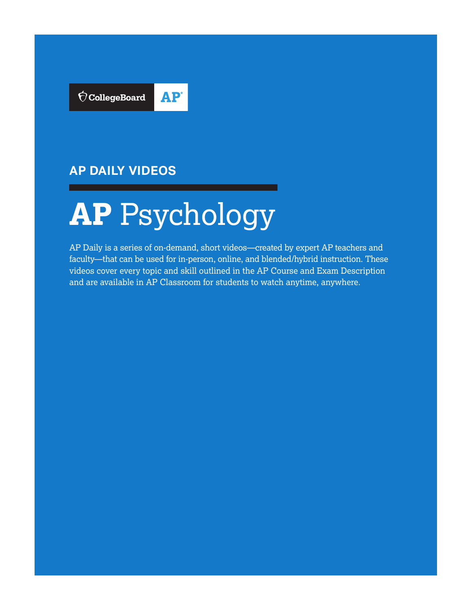

## **AP DAILY VIDEOS**

# **AP** Psychology

AP Daily is a series of on-demand, short videos—created by expert AP teachers and faculty—that can be used for in-person, online, and blended/hybrid instruction. These videos cover every topic and skill outlined in the AP Course and Exam Description and are available in AP Classroom for students to watch anytime, anywhere.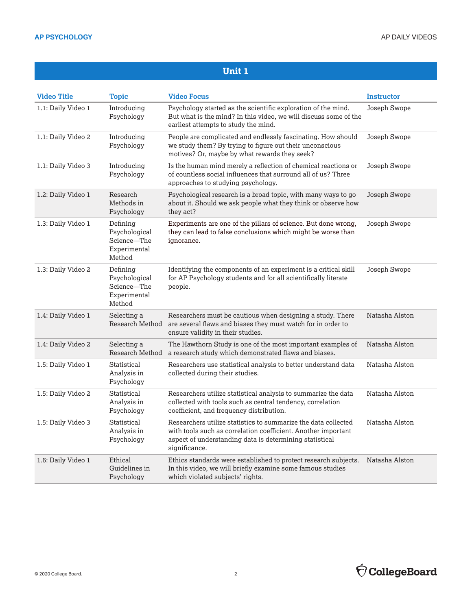| <b>Video Title</b> | <b>Topic</b>                                                       | <b>Video Focus</b>                                                                                                                                                                                          | <b>Instructor</b> |
|--------------------|--------------------------------------------------------------------|-------------------------------------------------------------------------------------------------------------------------------------------------------------------------------------------------------------|-------------------|
| 1.1: Daily Video 1 | Introducing<br>Psychology                                          | Psychology started as the scientific exploration of the mind.<br>But what is the mind? In this video, we will discuss some of the<br>earliest attempts to study the mind.                                   | Joseph Swope      |
| 1.1: Daily Video 2 | Introducing<br>Psychology                                          | People are complicated and endlessly fascinating. How should<br>we study them? By trying to figure out their unconscious<br>motives? Or, maybe by what rewards they seek?                                   | Joseph Swope      |
| 1.1: Daily Video 3 | Introducing<br>Psychology                                          | Is the human mind merely a reflection of chemical reactions or<br>of countless social influences that surround all of us? Three<br>approaches to studying psychology.                                       | Joseph Swope      |
| 1.2: Daily Video 1 | Research<br>Methods in<br>Psychology                               | Psychological research is a broad topic, with many ways to go<br>about it. Should we ask people what they think or observe how<br>they act?                                                                 | Joseph Swope      |
| 1.3: Daily Video 1 | Defining<br>Psychological<br>Science-The<br>Experimental<br>Method | Experiments are one of the pillars of science. But done wrong,<br>they can lead to false conclusions which might be worse than<br>ignorance.                                                                | Joseph Swope      |
| 1.3: Daily Video 2 | Defining<br>Psychological<br>Science-The<br>Experimental<br>Method | Identifying the components of an experiment is a critical skill<br>for AP Psychology students and for all scientifically literate<br>people.                                                                | Joseph Swope      |
| 1.4: Daily Video 1 | Selecting a<br>Research Method                                     | Researchers must be cautious when designing a study. There<br>are several flaws and biases they must watch for in order to<br>ensure validity in their studies.                                             | Natasha Alston    |
| 1.4: Daily Video 2 | Selecting a<br>Research Method                                     | The Hawthorn Study is one of the most important examples of<br>a research study which demonstrated flaws and biases.                                                                                        | Natasha Alston    |
| 1.5: Daily Video 1 | Statistical<br>Analysis in<br>Psychology                           | Researchers use statistical analysis to better understand data<br>collected during their studies.                                                                                                           | Natasha Alston    |
| 1.5: Daily Video 2 | Statistical<br>Analysis in<br>Psychology                           | Researchers utilize statistical analysis to summarize the data<br>collected with tools such as central tendency, correlation<br>coefficient, and frequency distribution.                                    | Natasha Alston    |
| 1.5: Daily Video 3 | Statistical<br>Analysis in<br>Psychology                           | Researchers utilize statistics to summarize the data collected<br>with tools such as correlation coefficient. Another important<br>aspect of understanding data is determining statistical<br>significance. | Natasha Alston    |
| 1.6: Daily Video 1 | Ethical<br>Guidelines in<br>Psychology                             | Ethics standards were established to protect research subjects.<br>In this video, we will briefly examine some famous studies<br>which violated subjects' rights.                                           | Natasha Alston    |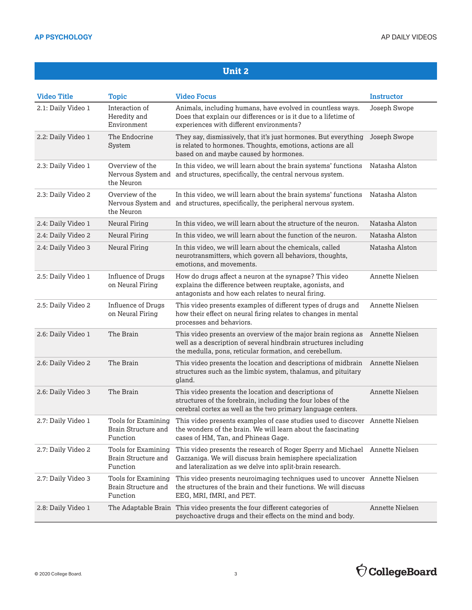| <b>Video Title</b> | <b>Topic</b>                                           | <b>Video Focus</b>                                                                                                                                                                          | <b>Instructor</b>      |
|--------------------|--------------------------------------------------------|---------------------------------------------------------------------------------------------------------------------------------------------------------------------------------------------|------------------------|
| 2.1: Daily Video 1 | Interaction of<br>Heredity and<br>Environment          | Animals, including humans, have evolved in countless ways.<br>Does that explain our differences or is it due to a lifetime of<br>experiences with different environments?                   | Joseph Swope           |
| 2.2: Daily Video 1 | The Endocrine<br>System                                | They say, dismissively, that it's just hormones. But everything<br>is related to hormones. Thoughts, emotions, actions are all<br>based on and maybe caused by hormones.                    | Joseph Swope           |
| 2.3: Daily Video 1 | Overview of the<br>Nervous System and<br>the Neuron    | In this video, we will learn about the brain systems' functions<br>and structures, specifically, the central nervous system.                                                                | Natasha Alston         |
| 2.3: Daily Video 2 | Overview of the<br>Nervous System and<br>the Neuron    | In this video, we will learn about the brain systems' functions<br>and structures, specifically, the peripheral nervous system.                                                             | Natasha Alston         |
| 2.4: Daily Video 1 | <b>Neural Firing</b>                                   | In this video, we will learn about the structure of the neuron.                                                                                                                             | Natasha Alston         |
| 2.4: Daily Video 2 | <b>Neural Firing</b>                                   | In this video, we will learn about the function of the neuron.                                                                                                                              | Natasha Alston         |
| 2.4: Daily Video 3 | <b>Neural Firing</b>                                   | In this video, we will learn about the chemicals, called<br>neurotransmitters, which govern all behaviors, thoughts,<br>emotions, and movements.                                            | Natasha Alston         |
| 2.5: Daily Video 1 | <b>Influence of Drugs</b><br>on Neural Firing          | How do drugs affect a neuron at the synapse? This video<br>explains the difference between reuptake, agonists, and<br>antagonists and how each relates to neural firing.                    | <b>Annette Nielsen</b> |
| 2.5: Daily Video 2 | <b>Influence of Drugs</b><br>on Neural Firing          | This video presents examples of different types of drugs and<br>how their effect on neural firing relates to changes in mental<br>processes and behaviors.                                  | <b>Annette Nielsen</b> |
| 2.6: Daily Video 1 | The Brain                                              | This video presents an overview of the major brain regions as<br>well as a description of several hindbrain structures including<br>the medulla, pons, reticular formation, and cerebellum. | <b>Annette Nielsen</b> |
| 2.6: Daily Video 2 | The Brain                                              | This video presents the location and descriptions of midbrain<br>structures such as the limbic system, thalamus, and pituitary<br>gland.                                                    | Annette Nielsen        |
| 2.6: Daily Video 3 | The Brain                                              | This video presents the location and descriptions of<br>structures of the forebrain, including the four lobes of the<br>cerebral cortex as well as the two primary language centers.        | Annette Nielsen        |
| 2.7: Daily Video 1 | Tools for Examining<br>Brain Structure and<br>Function | This video presents examples of case studies used to discover Annette Nielsen<br>the wonders of the brain. We will learn about the fascinating<br>cases of HM, Tan, and Phineas Gage.       |                        |
| 2.7: Daily Video 2 | Tools for Examining<br>Brain Structure and<br>Function | This video presents the research of Roger Sperry and Michael<br>Gazzaniga. We will discuss brain hemisphere specialization<br>and lateralization as we delve into split-brain research.     | Annette Nielsen        |
| 2.7: Daily Video 3 | Tools for Examining<br>Brain Structure and<br>Function | This video presents neuroimaging techniques used to uncover Annette Nielsen<br>the structures of the brain and their functions. We will discuss<br>EEG, MRI, fMRI, and PET.                 |                        |
| 2.8: Daily Video 1 |                                                        | The Adaptable Brain This video presents the four different categories of<br>psychoactive drugs and their effects on the mind and body.                                                      | Annette Nielsen        |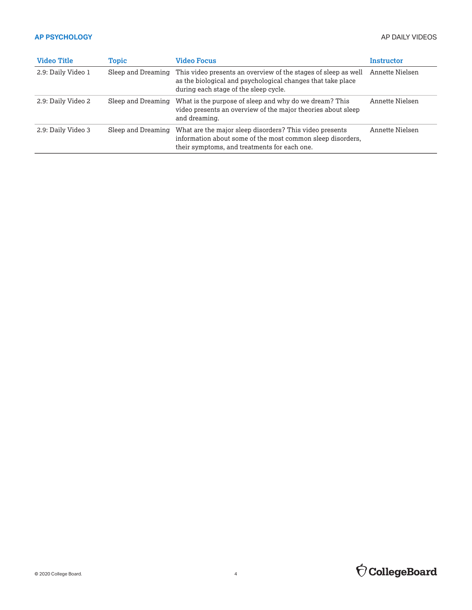| <b>Video Title</b> | Topic              | <b>Video Focus</b>                                                                                                                                                     | Instructor      |
|--------------------|--------------------|------------------------------------------------------------------------------------------------------------------------------------------------------------------------|-----------------|
| 2.9: Daily Video 1 | Sleep and Dreaming | This video presents an overview of the stages of sleep as well<br>as the biological and psychological changes that take place<br>during each stage of the sleep cycle. | Annette Nielsen |
| 2.9: Daily Video 2 | Sleep and Dreaming | What is the purpose of sleep and why do we dream? This<br>video presents an overview of the major theories about sleep<br>and dreaming.                                | Annette Nielsen |
| 2.9: Daily Video 3 | Sleep and Dreaming | What are the major sleep disorders? This video presents<br>information about some of the most common sleep disorders,<br>their symptoms, and treatments for each one.  | Annette Nielsen |

# $\bigcirc$  CollegeBoard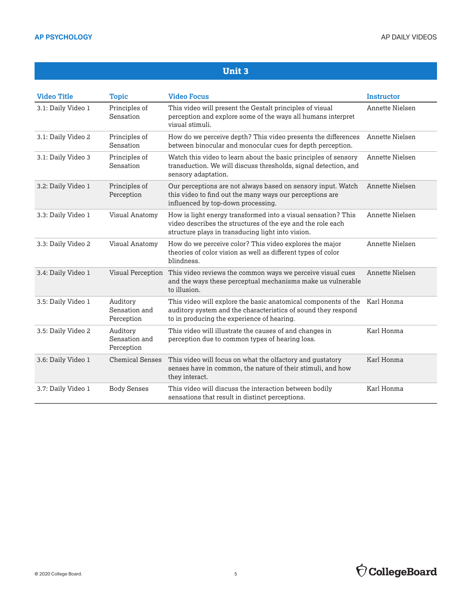| <b>Video Title</b> | <b>Topic</b>                            | <b>Video Focus</b>                                                                                                                                                                | <b>Instructor</b> |
|--------------------|-----------------------------------------|-----------------------------------------------------------------------------------------------------------------------------------------------------------------------------------|-------------------|
| 3.1: Daily Video 1 | Principles of<br>Sensation              | This video will present the Gestalt principles of visual<br>perception and explore some of the ways all humans interpret<br>visual stimuli.                                       | Annette Nielsen   |
| 3.1: Daily Video 2 | Principles of<br>Sensation              | How do we perceive depth? This video presents the differences<br>between binocular and monocular cues for depth perception.                                                       | Annette Nielsen   |
| 3.1: Daily Video 3 | Principles of<br>Sensation              | Watch this video to learn about the basic principles of sensory<br>transduction. We will discuss thresholds, signal detection, and<br>sensory adaptation.                         | Annette Nielsen   |
| 3.2: Daily Video 1 | Principles of<br>Perception             | Our perceptions are not always based on sensory input. Watch<br>this video to find out the many ways our perceptions are<br>influenced by top-down processing.                    | Annette Nielsen   |
| 3.3: Daily Video 1 | <b>Visual Anatomy</b>                   | How is light energy transformed into a visual sensation? This<br>video describes the structures of the eye and the role each<br>structure plays in transducing light into vision. | Annette Nielsen   |
| 3.3: Daily Video 2 | Visual Anatomy                          | How do we perceive color? This video explores the major<br>theories of color vision as well as different types of color<br>blindness.                                             | Annette Nielsen   |
| 3.4: Daily Video 1 | Visual Perception                       | This video reviews the common ways we perceive visual cues<br>and the ways these perceptual mechanisms make us vulnerable<br>to illusion.                                         | Annette Nielsen   |
| 3.5: Daily Video 1 | Auditory<br>Sensation and<br>Perception | This video will explore the basic anatomical components of the<br>auditory system and the characteristics of sound they respond<br>to in producing the experience of hearing.     | Karl Honma        |
| 3.5: Daily Video 2 | Auditory<br>Sensation and<br>Perception | This video will illustrate the causes of and changes in<br>perception due to common types of hearing loss.                                                                        | Karl Honma        |
| 3.6: Daily Video 1 | <b>Chemical Senses</b>                  | This video will focus on what the olfactory and gustatory<br>senses have in common, the nature of their stimuli, and how<br>they interact.                                        | Karl Honma        |
| 3.7: Daily Video 1 | <b>Body Senses</b>                      | This video will discuss the interaction between bodily<br>sensations that result in distinct perceptions.                                                                         | Karl Honma        |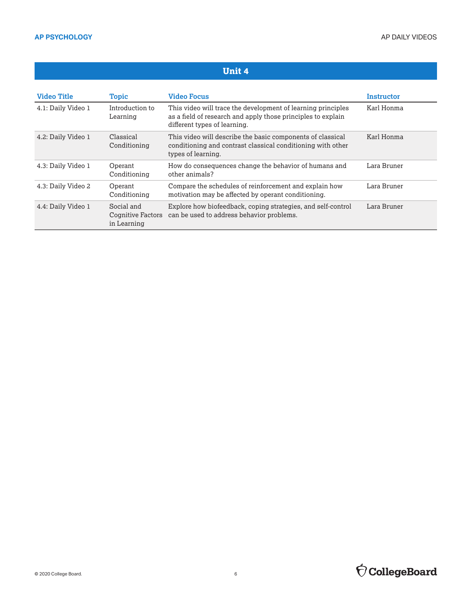#### **Unit 4 Video Title Topic Video Focus Instructor** 4.1: Daily Video 1 Introduction to Learning This video will trace the development of learning principles as a field of research and apply those principles to explain different types of learning. Karl Honma 4.2: Daily Video 1 Classical Conditioning This video will describe the basic components of classical conditioning and contrast classical conditioning with other types of learning. Karl Honma 4.3: Daily Video 1 Operant Conditioning How do consequences change the behavior of humans and other animals? Lara Bruner 4.3: Daily Video 2 Operant Conditioning Compare the schedules of reinforcement and explain how motivation may be affected by operant conditioning. Lara Bruner 4.4: Daily Video 1 Social and Cognitive Factors in Learning Explore how biofeedback, coping strategies, and self-control can be used to address behavior problems. Lara Bruner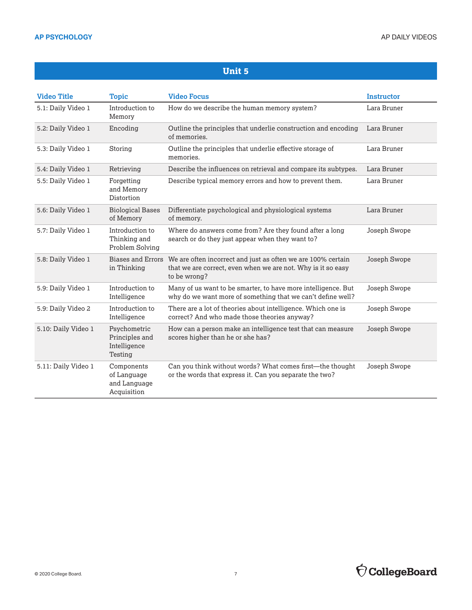| <b>Video Title</b>  | <b>Topic</b>                                              | <b>Video Focus</b>                                                                                                                           | <b>Instructor</b> |
|---------------------|-----------------------------------------------------------|----------------------------------------------------------------------------------------------------------------------------------------------|-------------------|
| 5.1: Daily Video 1  | Introduction to<br>Memory                                 | How do we describe the human memory system?                                                                                                  | Lara Bruner       |
| 5.2: Daily Video 1  | Encoding                                                  | Outline the principles that underlie construction and encoding<br>of memories.                                                               | Lara Bruner       |
| 5.3: Daily Video 1  | Storing                                                   | Outline the principles that underlie effective storage of<br>memories.                                                                       | Lara Bruner       |
| 5.4: Daily Video 1  | Retrieving                                                | Describe the influences on retrieval and compare its subtypes.                                                                               | Lara Bruner       |
| 5.5: Daily Video 1  | Forgetting<br>and Memory<br>Distortion                    | Describe typical memory errors and how to prevent them.                                                                                      | Lara Bruner       |
| 5.6: Daily Video 1  | <b>Biological Bases</b><br>of Memory                      | Differentiate psychological and physiological systems<br>of memory.                                                                          | Lara Bruner       |
| 5.7: Daily Video 1  | Introduction to<br>Thinking and<br>Problem Solving        | Where do answers come from? Are they found after a long<br>search or do they just appear when they want to?                                  | Joseph Swope      |
| 5.8: Daily Video 1  | <b>Biases and Errors</b><br>in Thinking                   | We are often incorrect and just as often we are 100% certain<br>that we are correct, even when we are not. Why is it so easy<br>to be wrong? | Joseph Swope      |
| 5.9: Daily Video 1  | Introduction to<br>Intelligence                           | Many of us want to be smarter, to have more intelligence. But<br>why do we want more of something that we can't define well?                 | Joseph Swope      |
| 5.9: Daily Video 2  | Introduction to<br>Intelligence                           | There are a lot of theories about intelligence. Which one is<br>correct? And who made those theories anyway?                                 | Joseph Swope      |
| 5.10: Daily Video 1 | Psychometric<br>Principles and<br>Intelligence<br>Testing | How can a person make an intelligence test that can measure<br>scores higher than he or she has?                                             | Joseph Swope      |
| 5.11: Daily Video 1 | Components<br>of Language<br>and Language<br>Acquisition  | Can you think without words? What comes first-the thought<br>or the words that express it. Can you separate the two?                         | Joseph Swope      |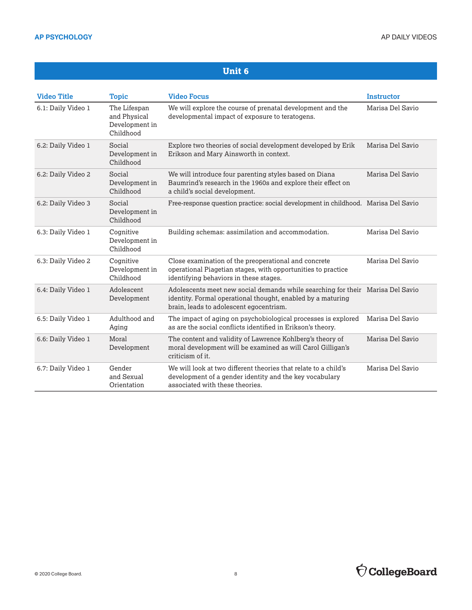| <b>Video Title</b> | <b>Topic</b>                                                | <b>Video Focus</b>                                                                                                                                                                       | <b>Instructor</b> |
|--------------------|-------------------------------------------------------------|------------------------------------------------------------------------------------------------------------------------------------------------------------------------------------------|-------------------|
| 6.1: Daily Video 1 | The Lifespan<br>and Physical<br>Development in<br>Childhood | We will explore the course of prenatal development and the<br>developmental impact of exposure to teratogens.                                                                            | Marisa Del Savio  |
| 6.2: Daily Video 1 | Social<br>Development in<br>Childhood                       | Explore two theories of social development developed by Erik<br>Erikson and Mary Ainsworth in context.                                                                                   | Marisa Del Savio  |
| 6.2: Daily Video 2 | Social<br>Development in<br>Childhood                       | We will introduce four parenting styles based on Diana<br>Baumrind's research in the 1960s and explore their effect on<br>a child's social development.                                  | Marisa Del Savio  |
| 6.2: Daily Video 3 | Social<br>Development in<br>Childhood                       | Free-response question practice: social development in childhood. Marisa Del Savio                                                                                                       |                   |
| 6.3: Daily Video 1 | Cognitive<br>Development in<br>Childhood                    | Building schemas: assimilation and accommodation.                                                                                                                                        | Marisa Del Savio  |
| 6.3: Daily Video 2 | Cognitive<br>Development in<br>Childhood                    | Close examination of the preoperational and concrete<br>operational Piagetian stages, with opportunities to practice<br>identifying behaviors in these stages.                           | Marisa Del Savio  |
| 6.4: Daily Video 1 | Adolescent<br>Development                                   | Adolescents meet new social demands while searching for their Marisa Del Savio<br>identity. Formal operational thought, enabled by a maturing<br>brain, leads to adolescent egocentrism. |                   |
| 6.5: Daily Video 1 | Adulthood and<br>Aging                                      | The impact of aging on psychobiological processes is explored<br>as are the social conflicts identified in Erikson's theory.                                                             | Marisa Del Savio  |
| 6.6: Daily Video 1 | Moral<br>Development                                        | The content and validity of Lawrence Kohlberg's theory of<br>moral development will be examined as will Carol Gilligan's<br>criticism of it.                                             | Marisa Del Savio  |
| 6.7: Daily Video 1 | Gender<br>and Sexual<br>Orientation                         | We will look at two different theories that relate to a child's<br>development of a gender identity and the key vocabulary<br>associated with these theories.                            | Marisa Del Savio  |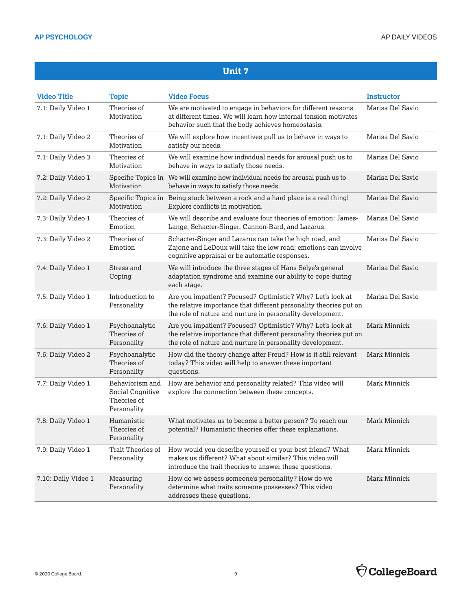| <b>Video Title</b>  | <b>Topic</b>                                                      | <b>Video Focus</b>                                                                                                                                                                             | Instructor       |
|---------------------|-------------------------------------------------------------------|------------------------------------------------------------------------------------------------------------------------------------------------------------------------------------------------|------------------|
| 7.1: Daily Video 1  | Theories of<br>Motivation                                         | We are motivated to engage in behaviors for different reasons<br>at different times. We will learn how internal tension motivates<br>behavior such that the body achieves homeostasis.         | Marisa Del Savio |
| 7.1: Daily Video 2  | Theories of<br>Motivation                                         | We will explore how incentives pull us to behave in ways to<br>satisfy our needs.                                                                                                              | Marisa Del Savio |
| 7.1: Daily Video 3  | Theories of<br>Motivation                                         | We will examine how individual needs for arousal push us to<br>behave in ways to satisfy those needs.                                                                                          | Marisa Del Savio |
| 7.2: Daily Video 1  | Specific Topics in<br>Motivation                                  | We will examine how individual needs for arousal push us to<br>behave in ways to satisfy those needs.                                                                                          | Marisa Del Savio |
| 7.2: Daily Video 2  | Motivation                                                        | Specific Topics in Being stuck between a rock and a hard place is a real thing!<br>Explore conflicts in motivation.                                                                            | Marisa Del Savio |
| 7.3: Daily Video 1  | Theories of<br>Emotion                                            | We will describe and evaluate four theories of emotion: James-<br>Lange, Schacter-Singer, Cannon-Bard, and Lazarus.                                                                            | Marisa Del Savio |
| 7.3: Daily Video 2  | Theories of<br>Emotion                                            | Schacter-Singer and Lazarus can take the high road, and<br>Zajonc and LeDoux will take the low road; emotions can involve<br>cognitive appraisal or be automatic responses.                    | Marisa Del Savio |
| 7.4: Daily Video 1  | Stress and<br>Coping                                              | We will introduce the three stages of Hans Selye's general<br>adaptation syndrome and examine our ability to cope during<br>each stage.                                                        | Marisa Del Savio |
| 7.5: Daily Video 1  | Introduction to<br>Personality                                    | Are you impatient? Focused? Optimistic? Why? Let's look at<br>the relative importance that different personality theories put on<br>the role of nature and nurture in personality development. | Marisa Del Savio |
| 7.6: Daily Video 1  | Psychoanalytic<br>Theories of<br>Personality                      | Are you impatient? Focused? Optimistic? Why? Let's look at<br>the relative importance that different personality theories put on<br>the role of nature and nurture in personality development. | Mark Minnick     |
| 7.6: Daily Video 2  | Psychoanalytic<br>Theories of<br>Personality                      | How did the theory change after Freud? How is it still relevant<br>today? This video will help to answer these important<br>questions.                                                         | Mark Minnick     |
| 7.7: Daily Video 1  | Behaviorism and<br>Social Cognitive<br>Theories of<br>Personality | How are behavior and personality related? This video will<br>explore the connection between these concepts.                                                                                    | Mark Minnick     |
| 7.8: Daily Video 1  | Humanistic<br>Theories of<br>Personality                          | What motivates us to become a better person? To reach our<br>potential? Humanistic theories offer these explanations.                                                                          | Mark Minnick     |
| 7.9: Daily Video 1  | Trait Theories of<br>Personality                                  | How would you describe yourself or your best friend? What<br>makes us different? What about similar? This video will<br>introduce the trait theories to answer these questions.                | Mark Minnick     |
| 7.10: Daily Video 1 | Measuring<br>Personality                                          | How do we assess someone's personality? How do we<br>determine what traits someone possesses? This video<br>addresses these questions.                                                         | Mark Minnick     |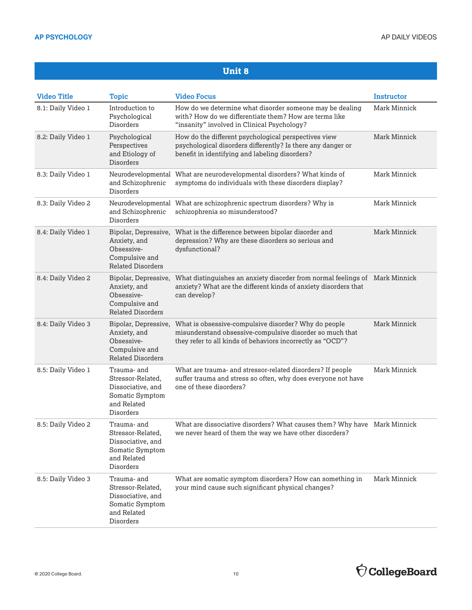| <b>Video Title</b> | <b>Topic</b>                                                                                         | <b>Video Focus</b>                                                                                                                                                             | <b>Instructor</b> |
|--------------------|------------------------------------------------------------------------------------------------------|--------------------------------------------------------------------------------------------------------------------------------------------------------------------------------|-------------------|
| 8.1: Daily Video 1 | Introduction to<br>Psychological<br>Disorders                                                        | How do we determine what disorder someone may be dealing<br>with? How do we differentiate them? How are terms like<br>"insanity" involved in Clinical Psychology?              | Mark Minnick      |
| 8.2: Daily Video 1 | Psychological<br>Perspectives<br>and Etiology of<br>Disorders                                        | How do the different psychological perspectives view<br>psychological disorders differently? Is there any danger or<br>benefit in identifying and labeling disorders?          | Mark Minnick      |
| 8.3: Daily Video 1 | and Schizophrenic<br>Disorders                                                                       | Neurodevelopmental What are neurodevelopmental disorders? What kinds of<br>symptoms do individuals with these disorders display?                                               | Mark Minnick      |
| 8.3: Daily Video 2 | and Schizophrenic<br>Disorders                                                                       | Neurodevelopmental What are schizophrenic spectrum disorders? Why is<br>schizophrenia so misunderstood?                                                                        | Mark Minnick      |
| 8.4: Daily Video 1 | Bipolar, Depressive,<br>Anxiety, and<br>Obsessive-<br>Compulsive and<br><b>Related Disorders</b>     | What is the difference between bipolar disorder and<br>depression? Why are these disorders so serious and<br>dysfunctional?                                                    | Mark Minnick      |
| 8.4: Daily Video 2 | Bipolar, Depressive,<br>Anxiety, and<br>Obsessive-<br>Compulsive and<br><b>Related Disorders</b>     | What distinguishes an anxiety disorder from normal feelings of Mark Minnick<br>anxiety? What are the different kinds of anxiety disorders that<br>can develop?                 |                   |
| 8.4: Daily Video 3 | Bipolar, Depressive,<br>Anxiety, and<br>Obsessive-<br>Compulsive and<br><b>Related Disorders</b>     | What is obsessive-compulsive disorder? Why do people<br>misunderstand obsessive-compulsive disorder so much that<br>they refer to all kinds of behaviors incorrectly as "OCD"? | Mark Minnick      |
| 8.5: Daily Video 1 | Trauma- and<br>Stressor-Related,<br>Dissociative, and<br>Somatic Symptom<br>and Related<br>Disorders | What are trauma- and stressor-related disorders? If people<br>suffer trauma and stress so often, why does everyone not have<br>one of these disorders?                         | Mark Minnick      |
| 8.5: Daily Video 2 | Trauma- and<br>Stressor-Related,<br>Dissociative, and<br>Somatic Symptom<br>and Related<br>Disorders | What are dissociative disorders? What causes them? Why have Mark Minnick<br>we never heard of them the way we have other disorders?                                            |                   |
| 8.5: Daily Video 3 | Trauma- and<br>Stressor-Related,<br>Dissociative, and<br>Somatic Symptom<br>and Related<br>Disorders | What are somatic symptom disorders? How can something in<br>your mind cause such significant physical changes?                                                                 | Mark Minnick      |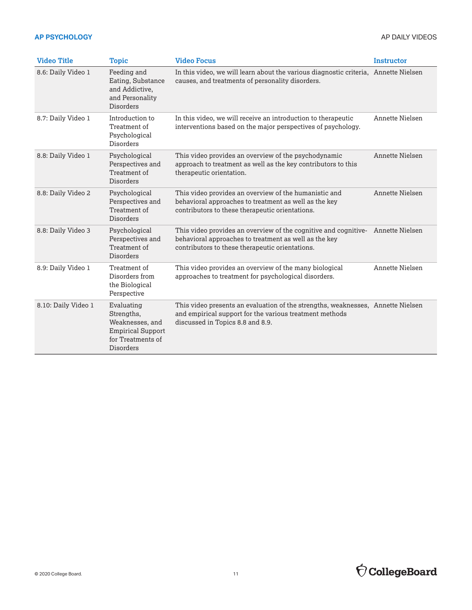| <b>Video Title</b>  | <b>Topic</b>                                                                                              | <b>Video Focus</b>                                                                                                                                                                          | <b>Instructor</b> |
|---------------------|-----------------------------------------------------------------------------------------------------------|---------------------------------------------------------------------------------------------------------------------------------------------------------------------------------------------|-------------------|
| 8.6: Daily Video 1  | Feeding and<br>Eating, Substance<br>and Addictive.<br>and Personality<br><b>Disorders</b>                 | In this video, we will learn about the various diagnostic criteria, Annette Nielsen<br>causes, and treatments of personality disorders.                                                     |                   |
| 8.7: Daily Video 1  | Introduction to<br>Treatment of<br>Psychological<br>Disorders                                             | In this video, we will receive an introduction to therapeutic<br>interventions based on the major perspectives of psychology.                                                               | Annette Nielsen   |
| 8.8: Daily Video 1  | Psychological<br>Perspectives and<br>Treatment of<br>Disorders                                            | This video provides an overview of the psychodynamic<br>approach to treatment as well as the key contributors to this<br>therapeutic orientation.                                           | Annette Nielsen   |
| 8.8: Daily Video 2  | Psychological<br>Perspectives and<br>Treatment of<br>Disorders                                            | This video provides an overview of the humanistic and<br>behavioral approaches to treatment as well as the key<br>contributors to these therapeutic orientations.                           | Annette Nielsen   |
| 8.8: Daily Video 3  | Psychological<br>Perspectives and<br>Treatment of<br><b>Disorders</b>                                     | This video provides an overview of the cognitive and cognitive- Annette Nielsen<br>behavioral approaches to treatment as well as the key<br>contributors to these therapeutic orientations. |                   |
| 8.9: Daily Video 1  | Treatment of<br>Disorders from<br>the Biological<br>Perspective                                           | This video provides an overview of the many biological<br>approaches to treatment for psychological disorders.                                                                              | Annette Nielsen   |
| 8.10: Daily Video 1 | Evaluating<br>Strengths,<br>Weaknesses, and<br><b>Empirical Support</b><br>for Treatments of<br>Disorders | This video presents an evaluation of the strengths, weaknesses, Annette Nielsen<br>and empirical support for the various treatment methods<br>discussed in Topics 8.8 and 8.9.              |                   |